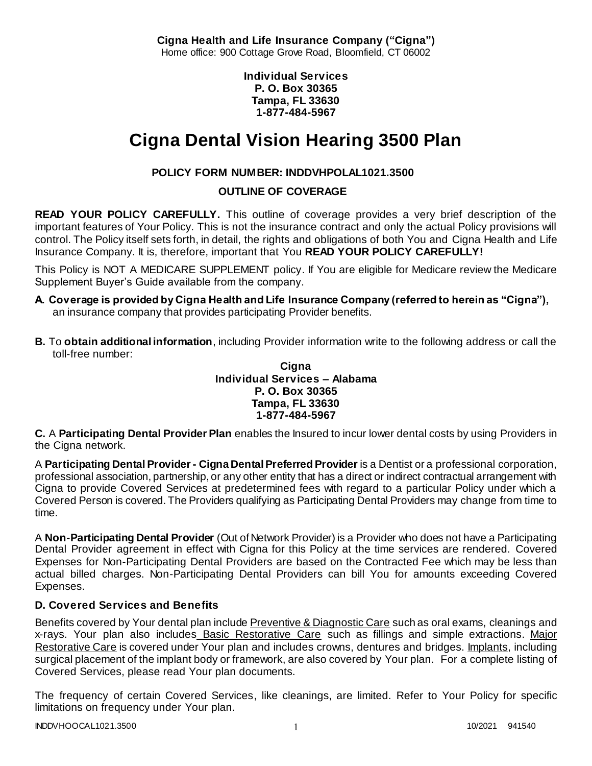**Cigna Health and Life Insurance Company ("Cigna")** Home office: 900 Cottage Grove Road, Bloomfield, CT 06002

> **Individual Services P. O. Box 30365 Tampa, FL 33630 1-877-484-5967**

# **Cigna Dental Vision Hearing 3500 Plan**

# **POLICY FORM NUMBER: INDDVHPOLAL1021.3500**

**OUTLINE OF COVERAGE** 

**READ YOUR POLICY CAREFULLY.** This outline of coverage provides a very brief description of the important features of Your Policy. This is not the insurance contract and only the actual Policy provisions will control. The Policy itself sets forth, in detail, the rights and obligations of both You and Cigna Health and Life Insurance Company. It is, therefore, important that You **READ YOUR POLICY CAREFULLY!** 

This Policy is NOT A MEDICARE SUPPLEMENT policy. If You are eligible for Medicare review the Medicare Supplement Buyer's Guide available from the company.

- **A. Coverage is provided by Cigna Health and Life Insurance Company (referred to herein as "Cigna"),**  an insurance company that provides participating Provider benefits.
- **B.** To **obtain additional information**, including Provider information write to the following address or call the toll-free number:

### **Cigna Individual Services – Alabama P. O. Box 30365 Tampa, FL 33630 1-877-484-5967**

**C.** A **Participating Dental Provider Plan** enables the Insured to incur lower dental costs by using Providers in the Cigna network.

A **Participating Dental Provider - Cigna Dental Preferred Provider** is a Dentist or a professional corporation, professional association, partnership, or any other entity that has a direct or indirect contractual arrangement with Cigna to provide Covered Services at predetermined fees with regard to a particular Policy under which a Covered Person is covered. The Providers qualifying as Participating Dental Providers may change from time to time.

A **Non-Participating Dental Provider** (Out of Network Provider) is a Provider who does not have a Participating Dental Provider agreement in effect with Cigna for this Policy at the time services are rendered. Covered Expenses for Non-Participating Dental Providers are based on the Contracted Fee which may be less than actual billed charges. Non-Participating Dental Providers can bill You for amounts exceeding Covered Expenses.

# **D. Covered Services and Benefits**

Benefits covered by Your dental plan include Preventive & Diagnostic Care such as oral exams, cleanings and x-rays. Your plan also includes Basic Restorative Care such as fillings and simple extractions. Major Restorative Care is covered under Your plan and includes crowns, dentures and bridges. Implants, including surgical placement of the implant body or framework, are also covered by Your plan. For a complete listing of Covered Services, please read Your plan documents.

The frequency of certain Covered Services, like cleanings, are limited. Refer to Your Policy for specific limitations on frequency under Your plan.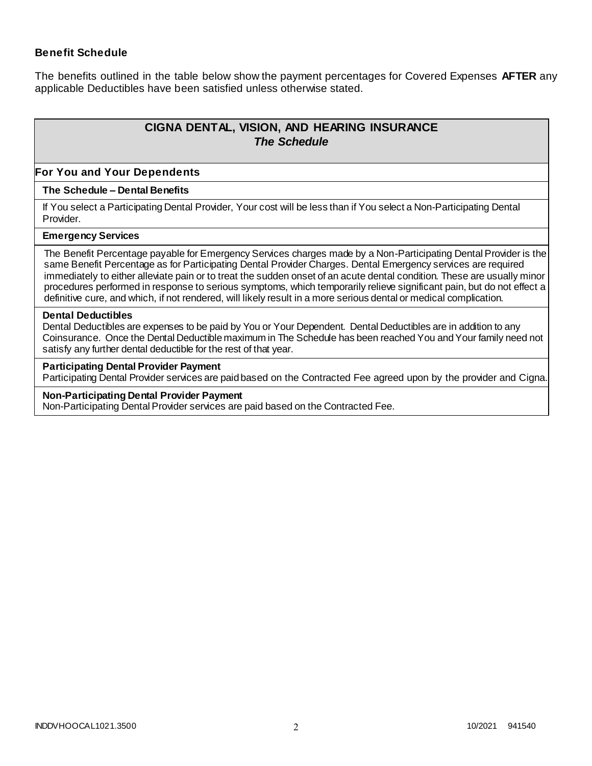### **Benefit Schedule**

The benefits outlined in the table below show the payment percentages for Covered Expenses **AFTER** any applicable Deductibles have been satisfied unless otherwise stated.

# **CIGNA DENTAL, VISION, AND HEARING INSURANCE** *The Schedule*

#### **For You and Your Dependents**

#### **The Schedule – Dental Benefits**

If You select a Participating Dental Provider, Your cost will be less than if You select a Non-Participating Dental Provider.

#### **Emergency Services**

The Benefit Percentage payable for Emergency Services charges made by a Non-Participating Dental Provider is the same Benefit Percentage as for Participating Dental Provider Charges. Dental Emergency services are required immediately to either alleviate pain or to treat the sudden onset of an acute dental condition. These are usually minor procedures performed in response to serious symptoms, which temporarily relieve significant pain, but do not effect a definitive cure, and which, if not rendered, will likely result in a more serious dental or medical complication.

#### **Dental Deductibles**

Dental Deductibles are expenses to be paid by You or Your Dependent. Dental Deductibles are in addition to any Coinsurance. Once the Dental Deductible maximum in The Schedule has been reached You and Your family need not satisfy any further dental deductible for the rest of that year.

#### **Participating Dental Provider Payment**

Participating Dental Provider services are paid based on the Contracted Fee agreed upon by the provider and Cigna.

#### **Non-Participating Dental Provider Payment**

Non-Participating Dental Provider services are paid based on the Contracted Fee.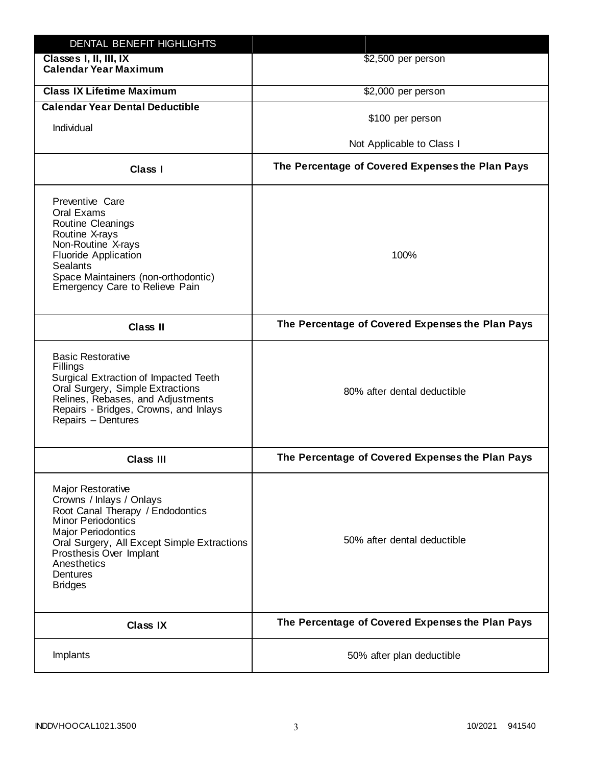| DENTAL BENEFIT HIGHLIGHTS                                                                                                                                                                                                                                                 |                                                  |
|---------------------------------------------------------------------------------------------------------------------------------------------------------------------------------------------------------------------------------------------------------------------------|--------------------------------------------------|
| Classes I, II, III, IX<br><b>Calendar Year Maximum</b>                                                                                                                                                                                                                    | \$2,500 per person                               |
| <b>Class IX Lifetime Maximum</b>                                                                                                                                                                                                                                          | \$2,000 per person                               |
| <b>Calendar Year Dental Deductible</b>                                                                                                                                                                                                                                    |                                                  |
| Individual                                                                                                                                                                                                                                                                | \$100 per person                                 |
|                                                                                                                                                                                                                                                                           | Not Applicable to Class I                        |
| Class I                                                                                                                                                                                                                                                                   | The Percentage of Covered Expenses the Plan Pays |
| Preventive Care<br>Oral Exams<br><b>Routine Cleanings</b><br>Routine X-rays<br>Non-Routine X-rays<br><b>Fluoride Application</b><br><b>Sealants</b><br>Space Maintainers (non-orthodontic)<br>Emergency Care to Relieve Pain                                              | 100%                                             |
| <b>Class II</b>                                                                                                                                                                                                                                                           | The Percentage of Covered Expenses the Plan Pays |
| <b>Basic Restorative</b><br>Fillings<br>Surgical Extraction of Impacted Teeth<br>Oral Surgery, Simple Extractions<br>Relines, Rebases, and Adjustments<br>Repairs - Bridges, Crowns, and Inlays<br>Repairs - Dentures                                                     | 80% after dental deductible                      |
| <b>Class III</b>                                                                                                                                                                                                                                                          | The Percentage of Covered Expenses the Plan Pays |
| <b>Major Restorative</b><br>Crowns / Inlays / Onlays<br>Root Canal Therapy / Endodontics<br><b>Minor Periodontics</b><br><b>Major Periodontics</b><br>Oral Surgery, All Except Simple Extractions<br>Prosthesis Over Implant<br>Anesthetics<br>Dentures<br><b>Bridges</b> | 50% after dental deductible                      |
| <b>Class IX</b>                                                                                                                                                                                                                                                           | The Percentage of Covered Expenses the Plan Pays |
| Implants                                                                                                                                                                                                                                                                  | 50% after plan deductible                        |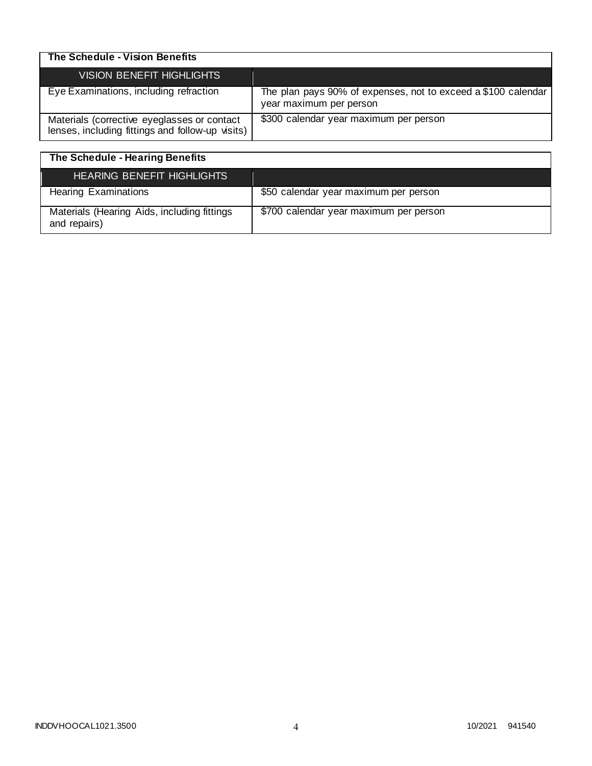| The Schedule - Vision Benefits                                                                  |                                                                                          |
|-------------------------------------------------------------------------------------------------|------------------------------------------------------------------------------------------|
| <b>VISION BENEFIT HIGHLIGHTS</b>                                                                |                                                                                          |
| Eye Examinations, including refraction                                                          | The plan pays 90% of expenses, not to exceed a \$100 calendar<br>year maximum per person |
| Materials (corrective eyeglasses or contact<br>lenses, including fittings and follow-up visits) | \$300 calendar year maximum per person                                                   |

| The Schedule - Hearing Benefits                             |                                        |
|-------------------------------------------------------------|----------------------------------------|
| <b>HEARING BENEFIT HIGHLIGHTS</b>                           |                                        |
| <b>Hearing Examinations</b>                                 | \$50 calendar year maximum per person  |
| Materials (Hearing Aids, including fittings<br>and repairs) | \$700 calendar year maximum per person |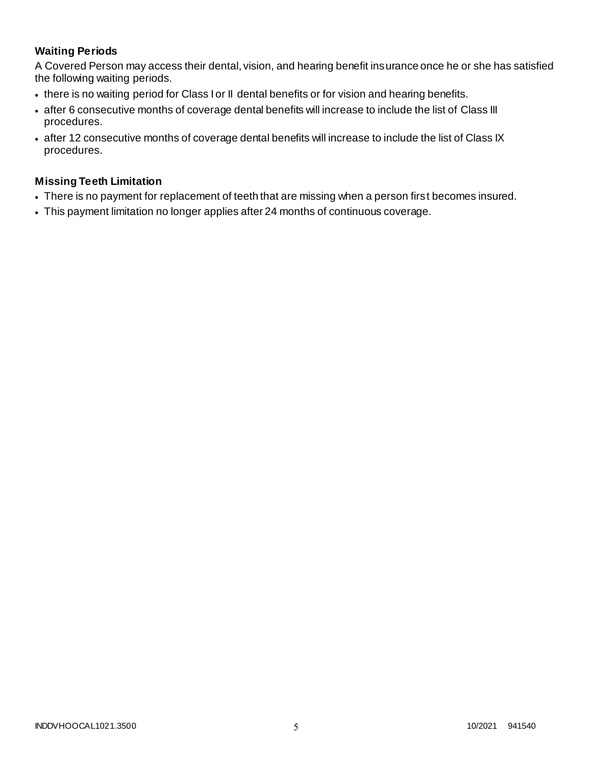# **Waiting Periods**

A Covered Person may access their dental, vision, and hearing benefit insurance once he or she has satisfied the following waiting periods.

- there is no waiting period for Class I or II dental benefits or for vision and hearing benefits.
- after 6 consecutive months of coverage dental benefits will increase to include the list of Class III procedures.
- after 12 consecutive months of coverage dental benefits will increase to include the list of Class IX procedures.

### **Missing Teeth Limitation**

- There is no payment for replacement of teeth that are missing when a person first becomes insured.
- This payment limitation no longer applies after 24 months of continuous coverage.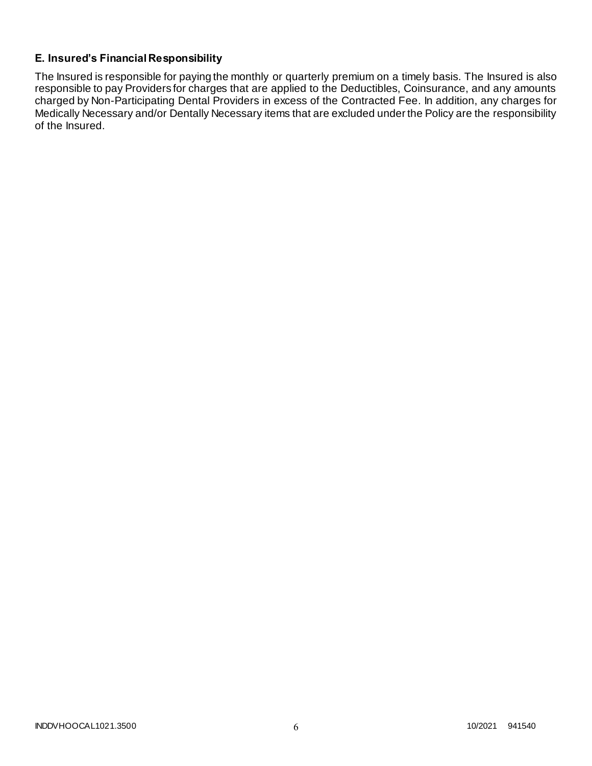# **E. Insured's Financial Responsibility**

The Insured is responsible for paying the monthly or quarterly premium on a timely basis. The Insured is also responsible to pay Providers for charges that are applied to the Deductibles, Coinsurance, and any amounts charged by Non-Participating Dental Providers in excess of the Contracted Fee. In addition, any charges for Medically Necessary and/or Dentally Necessary items that are excluded under the Policy are the responsibility of the Insured.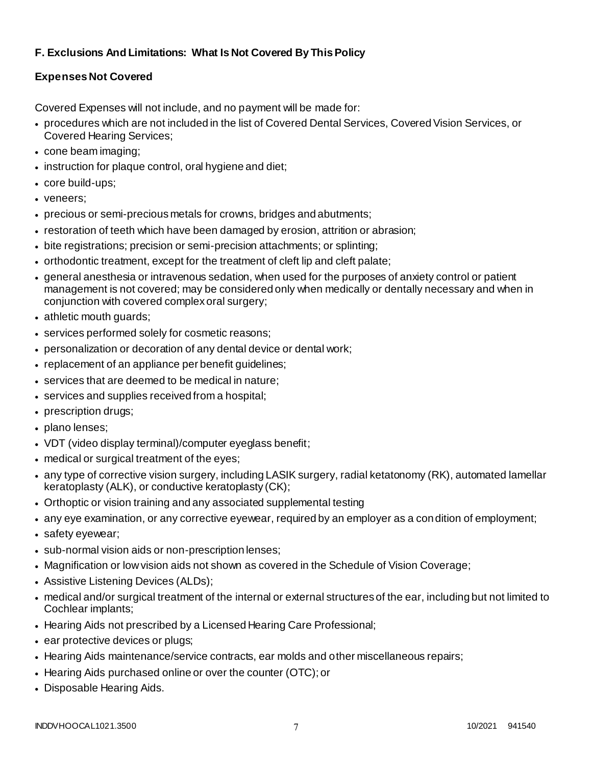# **F. Exclusions And Limitations: What Is Not Covered By This Policy**

# **Expenses Not Covered**

Covered Expenses will not include, and no payment will be made for:

- procedures which are not included in the list of Covered Dental Services, Covered Vision Services, or Covered Hearing Services;
- cone beam imaging;
- instruction for plaque control, oral hygiene and diet;
- core build-ups;
- veneers;
- precious or semi-precious metals for crowns, bridges and abutments;
- restoration of teeth which have been damaged by erosion, attrition or abrasion;
- bite registrations; precision or semi-precision attachments; or splinting;
- orthodontic treatment, except for the treatment of cleft lip and cleft palate;
- general anesthesia or intravenous sedation, when used for the purposes of anxiety control or patient management is not covered; may be considered only when medically or dentally necessary and when in conjunction with covered complex oral surgery;
- athletic mouth guards;
- services performed solely for cosmetic reasons;
- personalization or decoration of any dental device or dental work;
- replacement of an appliance per benefit guidelines;
- services that are deemed to be medical in nature;
- services and supplies received from a hospital;
- prescription drugs;
- plano lenses;
- VDT (video display terminal)/computer eyeglass benefit;
- medical or surgical treatment of the eyes;
- any type of corrective vision surgery, including LASIK surgery, radial ketatonomy (RK), automated lamellar keratoplasty (ALK), or conductive keratoplasty (CK);
- Orthoptic or vision training and any associated supplemental testing
- any eye examination, or any corrective eyewear, required by an employer as a condition of employment;
- safety eyewear;
- sub-normal vision aids or non-prescription lenses;
- Magnification or low vision aids not shown as covered in the Schedule of Vision Coverage;
- Assistive Listening Devices (ALDs);
- medical and/or surgical treatment of the internal or external structures of the ear, including but not limited to Cochlear implants;
- Hearing Aids not prescribed by a Licensed Hearing Care Professional;
- ear protective devices or plugs;
- Hearing Aids maintenance/service contracts, ear molds and other miscellaneous repairs;
- Hearing Aids purchased online or over the counter (OTC); or
- Disposable Hearing Aids.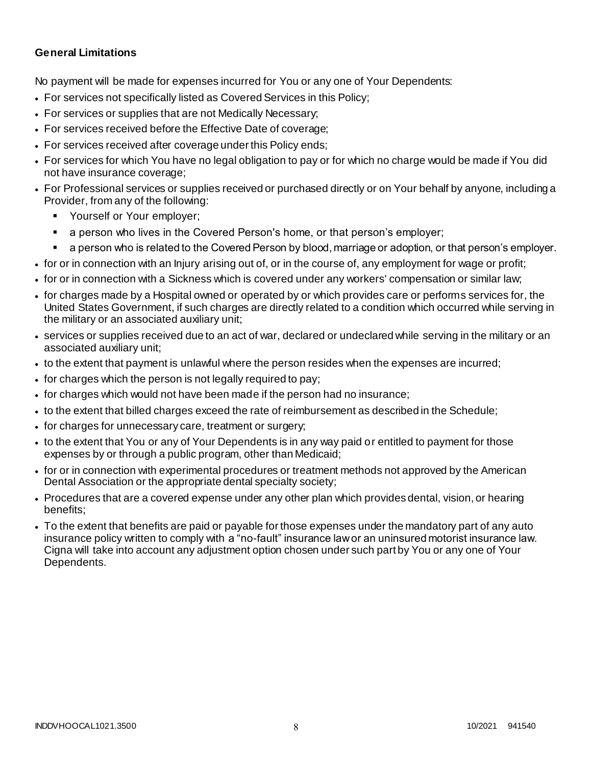### **General Limitations**

No payment will be made for expenses incurred for You or any one of Your Dependents:

- For services not specifically listed as Covered Services in this Policy;
- For services or supplies that are not Medically Necessary;
- For services received before the Effective Date of coverage;
- For services received after coverage under this Policy ends;
- For services for which You have no legal obligation to pay or for which no charge would be made if You did not have insurance coverage;
- For Professional services or supplies received or purchased directly or on Your behalf by anyone, including a Provider, from any of the following:
	- Yourself or Your employer;
	- a person who lives in the Covered Person's home, or that person's employer;
	- a person who is related to the Covered Person by blood, marriage or adoption, or that person's employer.
- for or in connection with an Injury arising out of, or in the course of, any employment for wage or profit;
- for or in connection with a Sickness which is covered under any workers' compensation or similar law;
- for charges made by a Hospital owned or operated by or which provides care or performs services for, the United States Government, if such charges are directly related to a condition which occurred while serving in the military or an associated auxiliary unit;
- services or supplies received due to an act of war, declared or undeclared while serving in the military or an associated auxiliary unit;
- to the extent that payment is unlawful where the person resides when the expenses are incurred;
- for charges which the person is not legally required to pay;
- for charges which would not have been made if the person had no insurance;
- to the extent that billed charges exceed the rate of reimbursement as described in the Schedule;
- for charges for unnecessary care, treatment or surgery;
- to the extent that You or any of Your Dependents is in any way paid or entitled to payment for those expenses by or through a public program, other than Medicaid;
- for or in connection with experimental procedures or treatment methods not approved by the American Dental Association or the appropriate dental specialty society;
- Procedures that are a covered expense under any other plan which provides dental, vision, or hearing benefits;
- To the extent that benefits are paid or payable for those expenses under the mandatory part of any auto insurance policy written to comply with a "no-fault" insurance law or an uninsured motorist insurance law. Cigna will take into account any adjustment option chosen under such part by You or any one of Your Dependents.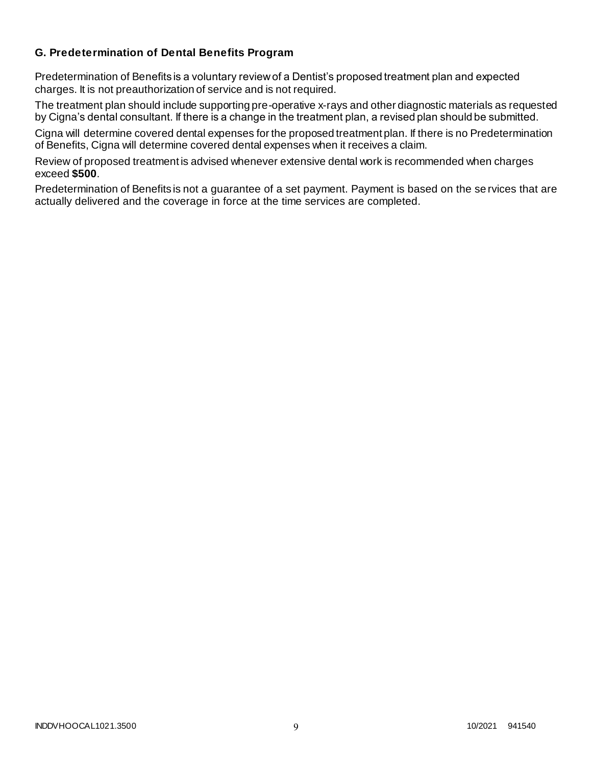### **G. Predetermination of Dental Benefits Program**

Predetermination of Benefits is a voluntary review of a Dentist's proposed treatment plan and expected charges. It is not preauthorization of service and is not required.

The treatment plan should include supporting pre-operative x-rays and other diagnostic materials as requested by Cigna's dental consultant. If there is a change in the treatment plan, a revised plan should be submitted.

Cigna will determine covered dental expenses for the proposed treatment plan. If there is no Predetermination of Benefits, Cigna will determine covered dental expenses when it receives a claim.

Review of proposed treatment is advised whenever extensive dental work is recommended when charges exceed **\$500**.

Predetermination of Benefits is not a guarantee of a set payment. Payment is based on the se rvices that are actually delivered and the coverage in force at the time services are completed.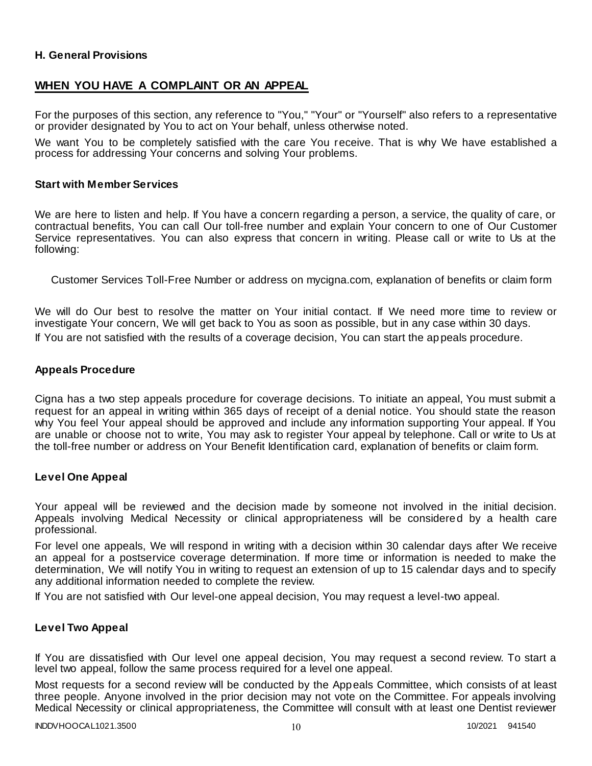### **H. General Provisions**

### **WHEN YOU HAVE A COMPLAINT OR AN APPEAL**

For the purposes of this section, any reference to "You," "Your" or "Yourself" also refers to a representative or provider designated by You to act on Your behalf, unless otherwise noted.

We want You to be completely satisfied with the care You receive. That is why We have established a process for addressing Your concerns and solving Your problems.

#### **Start with Member Services**

We are here to listen and help. If You have a concern regarding a person, a service, the quality of care, or contractual benefits, You can call Our toll-free number and explain Your concern to one of Our Customer Service representatives. You can also express that concern in writing. Please call or write to Us at the following:

Customer Services Toll-Free Number or address on mycigna.com, explanation of benefits or claim form

We will do Our best to resolve the matter on Your initial contact. If We need more time to review or investigate Your concern, We will get back to You as soon as possible, but in any case within 30 days. If You are not satisfied with the results of a coverage decision, You can start the appeals procedure.

#### **Appeals Procedure**

Cigna has a two step appeals procedure for coverage decisions. To initiate an appeal, You must submit a request for an appeal in writing within 365 days of receipt of a denial notice. You should state the reason why You feel Your appeal should be approved and include any information supporting Your appeal. If You are unable or choose not to write, You may ask to register Your appeal by telephone. Call or write to Us at the toll-free number or address on Your Benefit Identification card, explanation of benefits or claim form.

#### **Level One Appeal**

Your appeal will be reviewed and the decision made by someone not involved in the initial decision. Appeals involving Medical Necessity or clinical appropriateness will be considered by a health care professional.

For level one appeals, We will respond in writing with a decision within 30 calendar days after We receive an appeal for a postservice coverage determination. If more time or information is needed to make the determination, We will notify You in writing to request an extension of up to 15 calendar days and to specify any additional information needed to complete the review.

If You are not satisfied with Our level-one appeal decision, You may request a level-two appeal.

### **Level Two Appeal**

If You are dissatisfied with Our level one appeal decision, You may request a second review. To start a level two appeal, follow the same process required for a level one appeal.

Most requests for a second review will be conducted by the Appeals Committee, which consists of at least three people. Anyone involved in the prior decision may not vote on the Committee. For appeals involving Medical Necessity or clinical appropriateness, the Committee will consult with at least one Dentist reviewer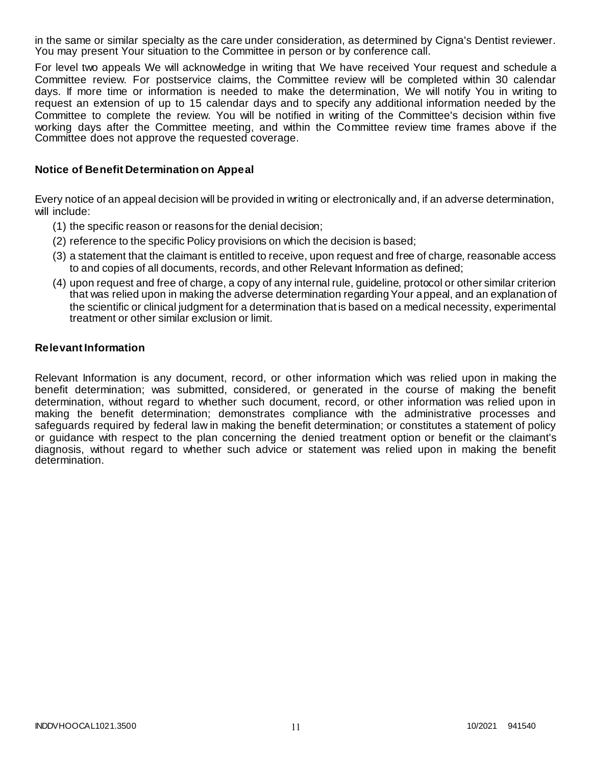in the same or similar specialty as the care under consideration, as determined by Cigna's Dentist reviewer. You may present Your situation to the Committee in person or by conference call.

For level two appeals We will acknowledge in writing that We have received Your request and schedule a Committee review. For postservice claims, the Committee review will be completed within 30 calendar days. If more time or information is needed to make the determination, We will notify You in writing to request an extension of up to 15 calendar days and to specify any additional information needed by the Committee to complete the review. You will be notified in writing of the Committee's decision within five working days after the Committee meeting, and within the Committee review time frames above if the Committee does not approve the requested coverage.

### **Notice of Benefit Determination on Appeal**

Every notice of an appeal decision will be provided in writing or electronically and, if an adverse determination, will include:

- (1) the specific reason or reasons for the denial decision;
- (2) reference to the specific Policy provisions on which the decision is based;
- (3) a statement that the claimant is entitled to receive, upon request and free of charge, reasonable access to and copies of all documents, records, and other Relevant Information as defined;
- (4) upon request and free of charge, a copy of any internal rule, guideline, protocol or other similar criterion that was relied upon in making the adverse determination regarding Your appeal, and an explanation of the scientific or clinical judgment for a determination that is based on a medical necessity, experimental treatment or other similar exclusion or limit.

#### **Relevant Information**

Relevant Information is any document, record, or other information which was relied upon in making the benefit determination; was submitted, considered, or generated in the course of making the benefit determination, without regard to whether such document, record, or other information was relied upon in making the benefit determination; demonstrates compliance with the administrative processes and safeguards required by federal law in making the benefit determination; or constitutes a statement of policy or guidance with respect to the plan concerning the denied treatment option or benefit or the claimant's diagnosis, without regard to whether such advice or statement was relied upon in making the benefit determination.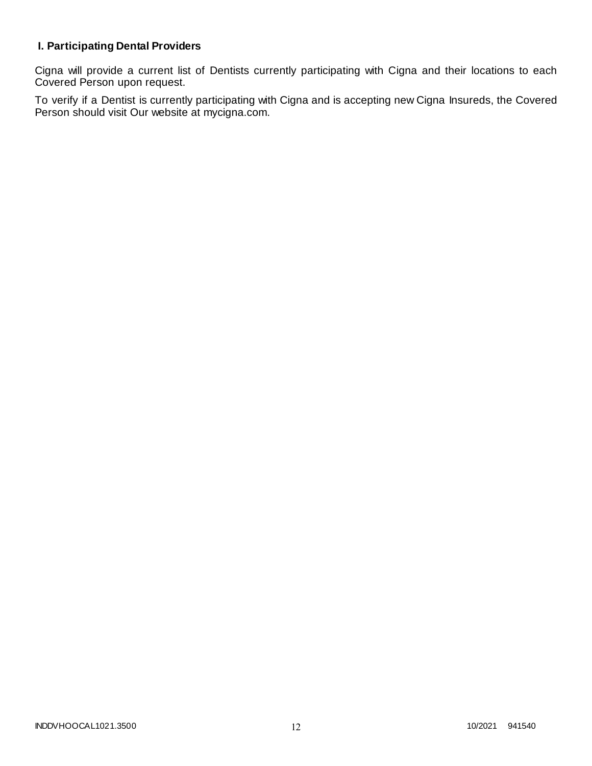# **I. Participating Dental Providers**

Cigna will provide a current list of Dentists currently participating with Cigna and their locations to each Covered Person upon request.

To verify if a Dentist is currently participating with Cigna and is accepting new Cigna Insureds, the Covered Person should visit Our website at mycigna.com.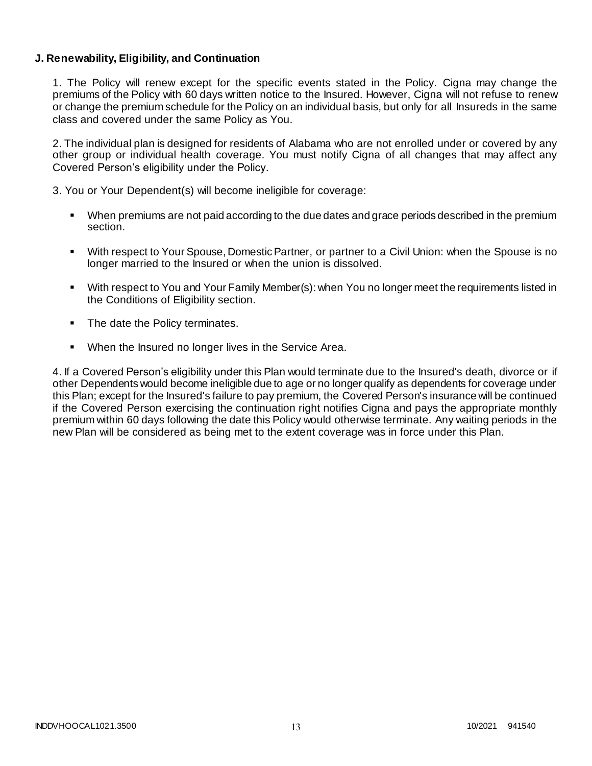### **J. Renewability, Eligibility, and Continuation**

1. The Policy will renew except for the specific events stated in the Policy. Cigna may change the premiums of the Policy with 60 days written notice to the Insured. However, Cigna will not refuse to renew or change the premium schedule for the Policy on an individual basis, but only for all Insureds in the same class and covered under the same Policy as You.

2. The individual plan is designed for residents of Alabama who are not enrolled under or covered by any other group or individual health coverage. You must notify Cigna of all changes that may affect any Covered Person's eligibility under the Policy.

3. You or Your Dependent(s) will become ineligible for coverage:

- When premiums are not paid according to the due dates and grace periods described in the premium section.
- With respect to Your Spouse, Domestic Partner, or partner to a Civil Union: when the Spouse is no longer married to the Insured or when the union is dissolved.
- With respect to You and Your Family Member(s): when You no longer meet the requirements listed in the Conditions of Eligibility section.
- The date the Policy terminates.
- When the Insured no longer lives in the Service Area.

4. If a Covered Person's eligibility under this Plan would terminate due to the Insured's death, divorce or if other Dependents would become ineligible due to age or no longer qualify as dependents for coverage under this Plan; except for the Insured's failure to pay premium, the Covered Person's insurance will be continued if the Covered Person exercising the continuation right notifies Cigna and pays the appropriate monthly premium within 60 days following the date this Policy would otherwise terminate. Any waiting periods in the new Plan will be considered as being met to the extent coverage was in force under this Plan.